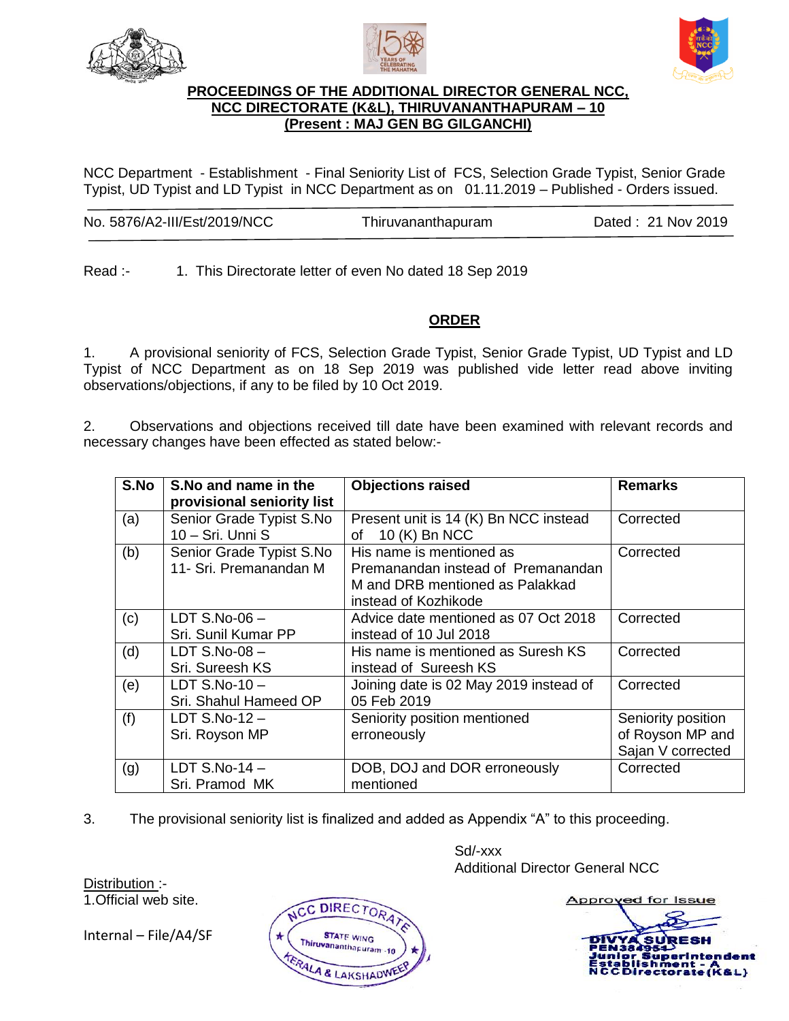





## **PROCEEDINGS OF THE ADDITIONAL DIRECTOR GENERAL NCC, NCC DIRECTORATE (K&L), THIRUVANANTHAPURAM – 10 (Present : MAJ GEN BG GILGANCHI)**

NCC Department - Establishment - Final Seniority List of FCS, Selection Grade Typist, Senior Grade Typist, UD Typist and LD Typist in NCC Department as on 01.11.2019 – Published - Orders issued.

| No. 5876/A2-III/Est/2019/NCC | Thiruvananthapuram | Dated: 21 Nov 2019 |
|------------------------------|--------------------|--------------------|
|                              |                    |                    |

Read :- 1. This Directorate letter of even No dated 18 Sep 2019

## **ORDER**

1. A provisional seniority of FCS, Selection Grade Typist, Senior Grade Typist, UD Typist and LD Typist of NCC Department as on 18 Sep 2019 was published vide letter read above inviting observations/objections, if any to be filed by 10 Oct 2019.

2. Observations and objections received till date have been examined with relevant records and necessary changes have been effected as stated below:-

| S.No | S. No and name in the<br>provisional seniority list | <b>Objections raised</b>                                                                                                  | <b>Remarks</b>                                              |
|------|-----------------------------------------------------|---------------------------------------------------------------------------------------------------------------------------|-------------------------------------------------------------|
| (a)  | Senior Grade Typist S.No<br>$10 - Sri$ . Unni S     | Present unit is 14 (K) Bn NCC instead<br>10 (K) Bn NCC<br>of                                                              | Corrected                                                   |
| (b)  | Senior Grade Typist S.No<br>11- Sri. Premanandan M  | His name is mentioned as<br>Premanandan instead of Premanandan<br>M and DRB mentioned as Palakkad<br>instead of Kozhikode | Corrected                                                   |
| (c)  | LDT $S.No-06$ -<br>Sri. Sunil Kumar PP              | Advice date mentioned as 07 Oct 2018<br>instead of 10 Jul 2018                                                            | Corrected                                                   |
| (d)  | LDT $S.No-08$ -<br>Sri. Sureesh KS                  | His name is mentioned as Suresh KS<br>instead of Sureesh KS                                                               | Corrected                                                   |
| (e)  | LDT $S.No-10-$<br>Sri. Shahul Hameed OP             | Joining date is 02 May 2019 instead of<br>05 Feb 2019                                                                     | Corrected                                                   |
| (f)  | LDT $S.No-12$ -<br>Sri. Royson MP                   | Seniority position mentioned<br>erroneously                                                                               | Seniority position<br>of Royson MP and<br>Sajan V corrected |
| (g)  | LDT $S.No-14$ -<br>Sri. Pramod MK                   | DOB, DOJ and DOR erroneously<br>mentioned                                                                                 | Corrected                                                   |

3. The provisional seniority list is finalized and added as Appendix "A" to this proceeding.

Distribution :-

1.Official web site.

Internal – File/A4/SF



Sd/-xxx Additional Director General NCC

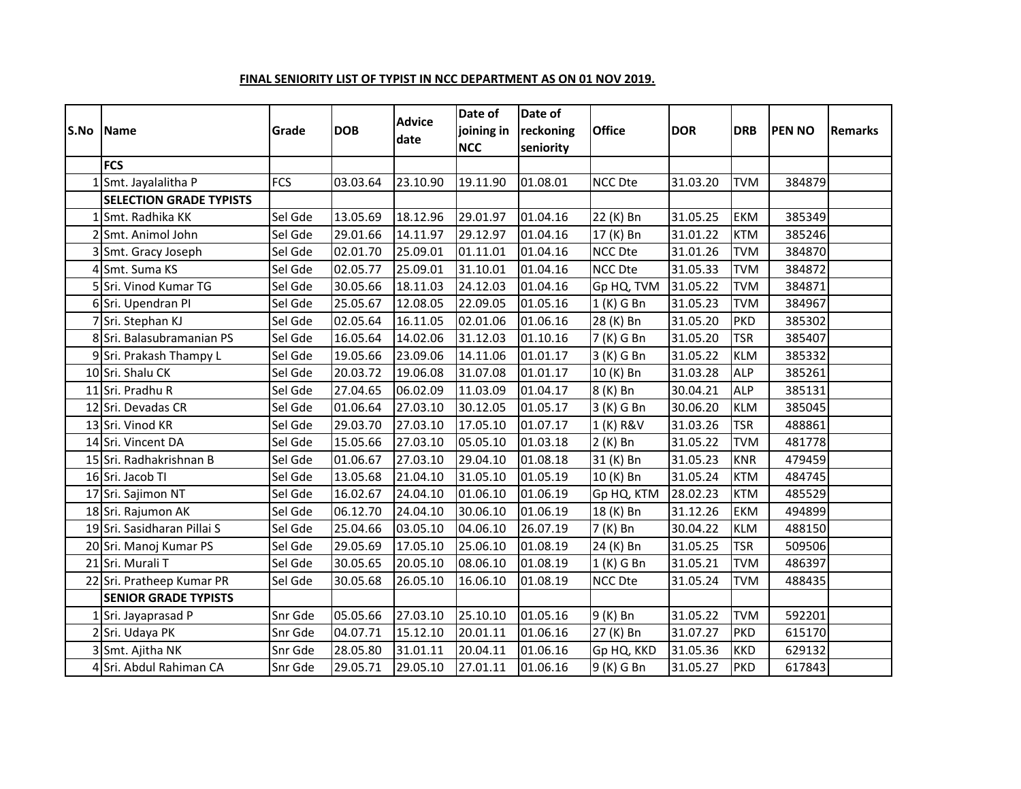## **FINAL SENIORITY LIST OF TYPIST IN NCC DEPARTMENT AS ON 01 NOV 2019.**

| S.No | Name                           | Grade      | <b>DOB</b> | <b>Advice</b><br>date | Date of<br>joining in<br><b>NCC</b> | Date of<br>reckoning<br>seniority | <b>Office</b>  | <b>DOR</b> | <b>DRB</b> | <b>PEN NO</b> | <b>Remarks</b> |
|------|--------------------------------|------------|------------|-----------------------|-------------------------------------|-----------------------------------|----------------|------------|------------|---------------|----------------|
|      | <b>FCS</b>                     |            |            |                       |                                     |                                   |                |            |            |               |                |
|      | Smt. Jayalalitha P             | <b>FCS</b> | 03.03.64   | 23.10.90              | 19.11.90                            | 01.08.01                          | <b>NCC Dte</b> | 31.03.20   | <b>TVM</b> | 384879        |                |
|      | <b>SELECTION GRADE TYPISTS</b> |            |            |                       |                                     |                                   |                |            |            |               |                |
|      | Smt. Radhika KK                | Sel Gde    | 13.05.69   | 18.12.96              | 29.01.97                            | 01.04.16                          | 22 (K) Bn      | 31.05.25   | <b>EKM</b> | 385349        |                |
|      | Smt. Animol John               | Sel Gde    | 29.01.66   | 14.11.97              | 29.12.97                            | 01.04.16                          | 17 (K) Bn      | 31.01.22   | <b>KTM</b> | 385246        |                |
|      | 3 Smt. Gracy Joseph            | Sel Gde    | 02.01.70   | 25.09.01              | 01.11.01                            | 01.04.16                          | <b>NCC Dte</b> | 31.01.26   | <b>TVM</b> | 384870        |                |
|      | 4 Smt. Suma KS                 | Sel Gde    | 02.05.77   | 25.09.01              | 31.10.01                            | 01.04.16                          | <b>NCC Dte</b> | 31.05.33   | <b>TVM</b> | 384872        |                |
|      | 5 Sri. Vinod Kumar TG          | Sel Gde    | 30.05.66   | 18.11.03              | 24.12.03                            | 01.04.16                          | Gp HQ, TVM     | 31.05.22   | <b>TVM</b> | 384871        |                |
|      | 6 Sri. Upendran PI             | Sel Gde    | 25.05.67   | 12.08.05              | 22.09.05                            | 01.05.16                          | $1(K)$ G Bn    | 31.05.23   | <b>TVM</b> | 384967        |                |
|      | 7 Sri. Stephan KJ              | Sel Gde    | 02.05.64   | 16.11.05              | 02.01.06                            | 01.06.16                          | 28 (K) Bn      | 31.05.20   | <b>PKD</b> | 385302        |                |
|      | 8 Sri. Balasubramanian PS      | Sel Gde    | 16.05.64   | 14.02.06              | 31.12.03                            | 01.10.16                          | 7 (K) G Bn     | 31.05.20   | <b>TSR</b> | 385407        |                |
|      | 9 Sri. Prakash Thampy L        | Sel Gde    | 19.05.66   | 23.09.06              | 14.11.06                            | 01.01.17                          | 3 (K) G Bn     | 31.05.22   | <b>KLM</b> | 385332        |                |
|      | 10 Sri. Shalu CK               | Sel Gde    | 20.03.72   | 19.06.08              | 31.07.08                            | 01.01.17                          | 10 (K) Bn      | 31.03.28   | <b>ALP</b> | 385261        |                |
|      | 11 Sri. Pradhu R               | Sel Gde    | 27.04.65   | 06.02.09              | 11.03.09                            | 01.04.17                          | 8 (K) Bn       | 30.04.21   | <b>ALP</b> | 385131        |                |
|      | 12 Sri. Devadas CR             | Sel Gde    | 01.06.64   | 27.03.10              | 30.12.05                            | 01.05.17                          | 3 (K) G Bn     | 30.06.20   | <b>KLM</b> | 385045        |                |
|      | 13 Sri. Vinod KR               | Sel Gde    | 29.03.70   | 27.03.10              | 17.05.10                            | 01.07.17                          | 1 (K) R&V      | 31.03.26   | <b>TSR</b> | 488861        |                |
|      | 14 Sri. Vincent DA             | Sel Gde    | 15.05.66   | 27.03.10              | 05.05.10                            | 01.03.18                          | $2(K)$ Bn      | 31.05.22   | <b>TVM</b> | 481778        |                |
|      | 15 Sri. Radhakrishnan B        | Sel Gde    | 01.06.67   | 27.03.10              | 29.04.10                            | 01.08.18                          | 31 (K) Bn      | 31.05.23   | <b>KNR</b> | 479459        |                |
|      | 16 Sri. Jacob TI               | Sel Gde    | 13.05.68   | 21.04.10              | 31.05.10                            | 01.05.19                          | 10 (K) Bn      | 31.05.24   | <b>KTM</b> | 484745        |                |
|      | 17 Sri. Sajimon NT             | Sel Gde    | 16.02.67   | 24.04.10              | 01.06.10                            | 01.06.19                          | Gp HQ, KTM     | 28.02.23   | <b>KTM</b> | 485529        |                |
|      | 18 Sri. Rajumon AK             | Sel Gde    | 06.12.70   | 24.04.10              | 30.06.10                            | 01.06.19                          | 18 (K) Bn      | 31.12.26   | <b>EKM</b> | 494899        |                |
|      | 19 Sri. Sasidharan Pillai S    | Sel Gde    | 25.04.66   | 03.05.10              | 04.06.10                            | 26.07.19                          | 7 (K) Bn       | 30.04.22   | <b>KLM</b> | 488150        |                |
|      | 20 Sri. Manoj Kumar PS         | Sel Gde    | 29.05.69   | 17.05.10              | 25.06.10                            | 01.08.19                          | 24 (K) Bn      | 31.05.25   | <b>TSR</b> | 509506        |                |
|      | 21 Sri. Murali T               | Sel Gde    | 30.05.65   | 20.05.10              | 08.06.10                            | 01.08.19                          | $1(K)$ G Bn    | 31.05.21   | <b>TVM</b> | 486397        |                |
|      | 22 Sri. Pratheep Kumar PR      | Sel Gde    | 30.05.68   | 26.05.10              | 16.06.10                            | 01.08.19                          | <b>NCC Dte</b> | 31.05.24   | <b>TVM</b> | 488435        |                |
|      | <b>SENIOR GRADE TYPISTS</b>    |            |            |                       |                                     |                                   |                |            |            |               |                |
|      | 1 Sri. Jayaprasad P            | Snr Gde    | 05.05.66   | 27.03.10              | 25.10.10                            | 01.05.16                          | 9 (K) Bn       | 31.05.22   | <b>TVM</b> | 592201        |                |
|      | 2 Sri. Udaya PK                | Snr Gde    | 04.07.71   | 15.12.10              | 20.01.11                            | 01.06.16                          | 27 (K) Bn      | 31.07.27   | <b>PKD</b> | 615170        |                |
|      | 3 Smt. Ajitha NK               | Snr Gde    | 28.05.80   | 31.01.11              | 20.04.11                            | 01.06.16                          | Gp HQ, KKD     | 31.05.36   | <b>KKD</b> | 629132        |                |
|      | 4 Sri. Abdul Rahiman CA        | Snr Gde    | 29.05.71   | 29.05.10              | 27.01.11                            | 01.06.16                          | 9 (K) G Bn     | 31.05.27   | <b>PKD</b> | 617843        |                |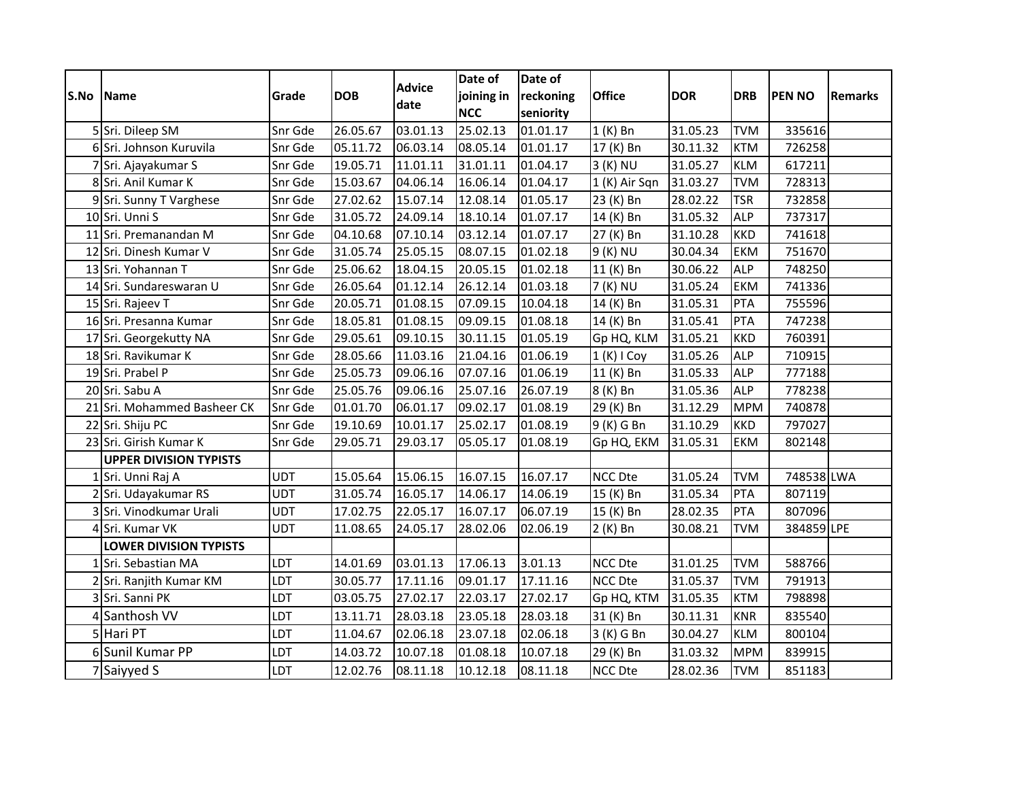|      | Name                          | Grade      | <b>DOB</b> | <b>Advice</b><br>date | Date of    | Date of   |                |            |            |               |                |
|------|-------------------------------|------------|------------|-----------------------|------------|-----------|----------------|------------|------------|---------------|----------------|
| S.No |                               |            |            |                       | joining in | reckoning | <b>Office</b>  | <b>DOR</b> | <b>DRB</b> | <b>PEN NO</b> | <b>Remarks</b> |
|      |                               |            |            |                       | <b>NCC</b> | seniority |                |            |            |               |                |
|      | 5 Sri. Dileep SM              | Snr Gde    | 26.05.67   | 03.01.13              | 25.02.13   | 01.01.17  | $1(K)$ Bn      | 31.05.23   | <b>TVM</b> | 335616        |                |
|      | 6 Sri. Johnson Kuruvila       | Snr Gde    | 05.11.72   | 06.03.14              | 08.05.14   | 01.01.17  | 17 (K) Bn      | 30.11.32   | <b>KTM</b> | 726258        |                |
|      | 7 Sri. Ajayakumar S           | Snr Gde    | 19.05.71   | 11.01.11              | 31.01.11   | 01.04.17  | 3 (K) NU       | 31.05.27   | <b>KLM</b> | 617211        |                |
|      | 8 Sri. Anil Kumar K           | Snr Gde    | 15.03.67   | 04.06.14              | 16.06.14   | 01.04.17  | 1 (K) Air Sqn  | 31.03.27   | <b>TVM</b> | 728313        |                |
|      | 9 Sri. Sunny T Varghese       | Snr Gde    | 27.02.62   | 15.07.14              | 12.08.14   | 01.05.17  | 23 (K) Bn      | 28.02.22   | <b>TSR</b> | 732858        |                |
|      | 10 Sri. Unni S                | Snr Gde    | 31.05.72   | 24.09.14              | 18.10.14   | 01.07.17  | 14 (K) Bn      | 31.05.32   | <b>ALP</b> | 737317        |                |
|      | 11 Sri. Premanandan M         | Snr Gde    | 04.10.68   | 07.10.14              | 03.12.14   | 01.07.17  | 27 (K) Bn      | 31.10.28   | <b>KKD</b> | 741618        |                |
|      | 12 Sri. Dinesh Kumar V        | Snr Gde    | 31.05.74   | 25.05.15              | 08.07.15   | 01.02.18  | 9 (K) NU       | 30.04.34   | <b>EKM</b> | 751670        |                |
|      | 13 Sri. Yohannan T            | Snr Gde    | 25.06.62   | 18.04.15              | 20.05.15   | 01.02.18  | 11 (K) Bn      | 30.06.22   | <b>ALP</b> | 748250        |                |
|      | 14 Sri. Sundareswaran U       | Snr Gde    | 26.05.64   | 01.12.14              | 26.12.14   | 01.03.18  | 7 (K) NU       | 31.05.24   | <b>EKM</b> | 741336        |                |
|      | 15 Sri. Rajeev T              | Snr Gde    | 20.05.71   | 01.08.15              | 07.09.15   | 10.04.18  | 14 (K) Bn      | 31.05.31   | <b>PTA</b> | 755596        |                |
|      | 16 Sri. Presanna Kumar        | Snr Gde    | 18.05.81   | 01.08.15              | 09.09.15   | 01.08.18  | 14 (K) Bn      | 31.05.41   | <b>PTA</b> | 747238        |                |
|      | 17 Sri. Georgekutty NA        | Snr Gde    | 29.05.61   | 09.10.15              | 30.11.15   | 01.05.19  | Gp HQ, KLM     | 31.05.21   | <b>KKD</b> | 760391        |                |
|      | 18 Sri. Ravikumar K           | Snr Gde    | 28.05.66   | 11.03.16              | 21.04.16   | 01.06.19  | $1(K)$ I Coy   | 31.05.26   | <b>ALP</b> | 710915        |                |
|      | 19Sri. Prabel P               | Snr Gde    | 25.05.73   | 09.06.16              | 07.07.16   | 01.06.19  | 11 (K) Bn      | 31.05.33   | <b>ALP</b> | 777188        |                |
|      | 20 Sri. Sabu A                | Snr Gde    | 25.05.76   | 09.06.16              | 25.07.16   | 26.07.19  | 8 (K) Bn       | 31.05.36   | <b>ALP</b> | 778238        |                |
|      | 21 Sri. Mohammed Basheer CK   | Snr Gde    | 01.01.70   | 06.01.17              | 09.02.17   | 01.08.19  | 29 (K) Bn      | 31.12.29   | <b>MPM</b> | 740878        |                |
|      | 22 Sri. Shiju PC              | Snr Gde    | 19.10.69   | 10.01.17              | 25.02.17   | 01.08.19  | 9 (K) G Bn     | 31.10.29   | <b>KKD</b> | 797027        |                |
|      | 23 Sri. Girish Kumar K        | Snr Gde    | 29.05.71   | 29.03.17              | 05.05.17   | 01.08.19  | Gp HQ, EKM     | 31.05.31   | <b>EKM</b> | 802148        |                |
|      | <b>UPPER DIVISION TYPISTS</b> |            |            |                       |            |           |                |            |            |               |                |
|      | 1 Sri. Unni Raj A             | <b>UDT</b> | 15.05.64   | 15.06.15              | 16.07.15   | 16.07.17  | <b>NCC Dte</b> | 31.05.24   | <b>TVM</b> | 748538 LWA    |                |
|      | 2 Sri. Udayakumar RS          | <b>UDT</b> | 31.05.74   | 16.05.17              | 14.06.17   | 14.06.19  | 15 (K) Bn      | 31.05.34   | PTA        | 807119        |                |
|      | 3 Sri. Vinodkumar Urali       | <b>UDT</b> | 17.02.75   | 22.05.17              | 16.07.17   | 06.07.19  | 15 (K) Bn      | 28.02.35   | <b>PTA</b> | 807096        |                |
|      | 4 Sri. Kumar VK               | <b>UDT</b> | 11.08.65   | 24.05.17              | 28.02.06   | 02.06.19  | 2 (K) Bn       | 30.08.21   | <b>TVM</b> | 384859 LPE    |                |
|      | <b>LOWER DIVISION TYPISTS</b> |            |            |                       |            |           |                |            |            |               |                |
|      | 1 Sri. Sebastian MA           | LDT        | 14.01.69   | 03.01.13              | 17.06.13   | 3.01.13   | NCC Dte        | 31.01.25   | <b>TVM</b> | 588766        |                |
|      | 2 Sri. Ranjith Kumar KM       | LDT        | 30.05.77   | 17.11.16              | 09.01.17   | 17.11.16  | <b>NCC Dte</b> | 31.05.37   | <b>TVM</b> | 791913        |                |
|      | 3 Sri. Sanni PK               | LDT        | 03.05.75   | 27.02.17              | 22.03.17   | 27.02.17  | Gp HQ, KTM     | 31.05.35   | <b>KTM</b> | 798898        |                |
|      | 4 Santhosh VV                 | LDT        | 13.11.71   | 28.03.18              | 23.05.18   | 28.03.18  | 31 (K) Bn      | 30.11.31   | <b>KNR</b> | 835540        |                |
|      | 5 Hari PT                     | LDT        | 11.04.67   | 02.06.18              | 23.07.18   | 02.06.18  | 3 (K) G Bn     | 30.04.27   | <b>KLM</b> | 800104        |                |
|      | 6 Sunil Kumar PP              | LDT        | 14.03.72   | 10.07.18              | 01.08.18   | 10.07.18  | 29 (K) Bn      | 31.03.32   | <b>MPM</b> | 839915        |                |
|      | 7 Saiyyed S                   | LDT        | 12.02.76   | 08.11.18              | 10.12.18   | 08.11.18  | <b>NCC Dte</b> | 28.02.36   | <b>TVM</b> | 851183        |                |